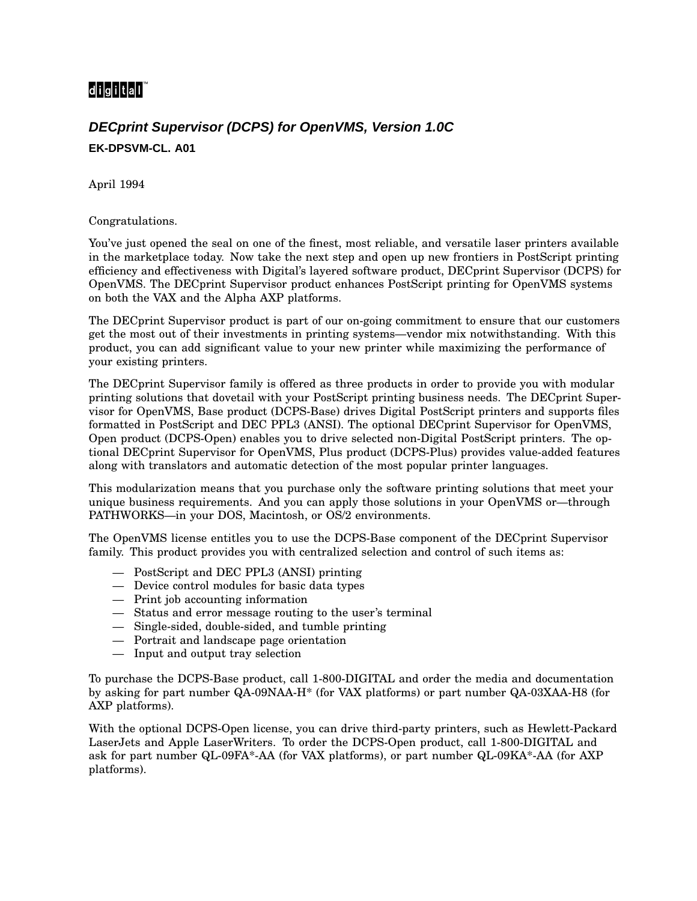## digital<sup>"</sup>

## **DECprint Supervisor (DCPS) for OpenVMS, Version 1.0C EK-DPSVM-CL. A01**

April 1994

Congratulations.

You've just opened the seal on one of the finest, most reliable, and versatile laser printers available in the marketplace today. Now take the next step and open up new frontiers in PostScript printing efficiency and effectiveness with Digital's layered software product, DECprint Supervisor (DCPS) for OpenVMS. The DECprint Supervisor product enhances PostScript printing for OpenVMS systems on both the VAX and the Alpha AXP platforms.

The DECprint Supervisor product is part of our on-going commitment to ensure that our customers get the most out of their investments in printing systems—vendor mix notwithstanding. With this product, you can add significant value to your new printer while maximizing the performance of your existing printers.

The DECprint Supervisor family is offered as three products in order to provide you with modular printing solutions that dovetail with your PostScript printing business needs. The DECprint Supervisor for OpenVMS, Base product (DCPS-Base) drives Digital PostScript printers and supports files formatted in PostScript and DEC PPL3 (ANSI). The optional DECprint Supervisor for OpenVMS, Open product (DCPS-Open) enables you to drive selected non-Digital PostScript printers. The optional DECprint Supervisor for OpenVMS, Plus product (DCPS-Plus) provides value-added features along with translators and automatic detection of the most popular printer languages.

This modularization means that you purchase only the software printing solutions that meet your unique business requirements. And you can apply those solutions in your OpenVMS or—through PATHWORKS—in your DOS, Macintosh, or OS/2 environments.

The OpenVMS license entitles you to use the DCPS-Base component of the DECprint Supervisor family. This product provides you with centralized selection and control of such items as:

- PostScript and DEC PPL3 (ANSI) printing
- Device control modules for basic data types
- Print job accounting information
- Status and error message routing to the user's terminal
- Single-sided, double-sided, and tumble printing
- Portrait and landscape page orientation
- Input and output tray selection

To purchase the DCPS-Base product, call 1-800-DIGITAL and order the media and documentation by asking for part number QA-09NAA-H\* (for VAX platforms) or part number QA-03XAA-H8 (for AXP platforms).

With the optional DCPS-Open license, you can drive third-party printers, such as Hewlett-Packard LaserJets and Apple LaserWriters. To order the DCPS-Open product, call 1-800-DIGITAL and ask for part number QL-09FA\*-AA (for VAX platforms), or part number QL-09KA\*-AA (for AXP platforms).